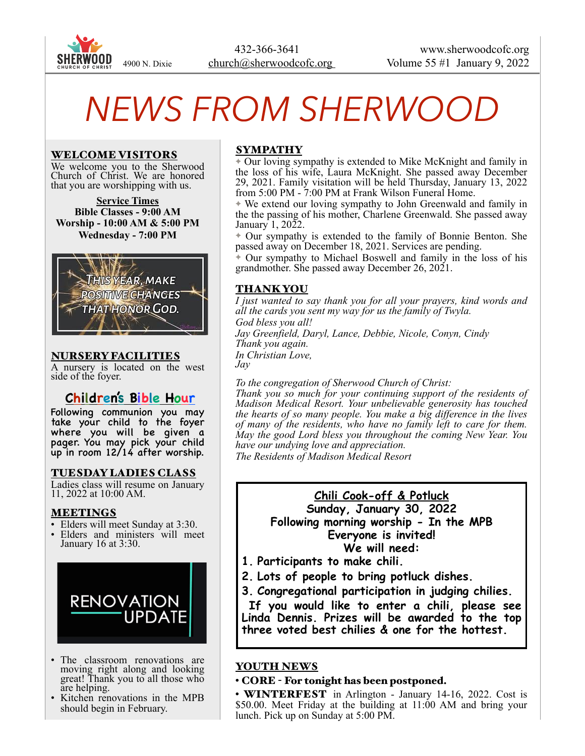

# *NEWS FROM SHERWOOD*

#### WELCOME VISITORS

We welcome you to the Sherwood Church of Christ. We are honored that you are worshipping with us.

**Service Times Bible Classes - 9:00 AM Worship - 10:00 AM & 5:00 PM Wednesday - 7:00 PM** 



#### NURSERY FACILITIES

A nursery is located on the west side of the foyer.

## **Children's Bible Hour**

Following communion you may take your child to the foyer where you will be given a pager. You may pick your child up in room 12/14 after worship.

## TUESDAY LADIES CLASS

Ladies class will resume on January 11, 2022 at 10:00 AM.

#### **MEETINGS**

- Elders will meet Sunday at 3:30.
- Elders and ministers will meet January 16 at 3:30.



- The classroom renovations are moving right along and looking great! Thank you to all those who are helping.
- Kitchen renovations in the MPB should begin in February.

#### SYMPATHY

✦ Our loving sympathy is extended to Mike McKnight and family in the loss of his wife, Laura McKnight. She passed away December 29, 2021. Family visitation will be held Thursday, January 13, 2022 from 5:00 PM - 7:00 PM at Frank Wilson Funeral Home.

✦ We extend our loving sympathy to John Greenwald and family in the the passing of his mother, Charlene Greenwald. She passed away January 1, 2022.

✦ Our sympathy is extended to the family of Bonnie Benton. She passed away on December 18, 2021. Services are pending.

✦ Our sympathy to Michael Boswell and family in the loss of his grandmother. She passed away December 26, 2021.

## THANK YOU

*I just wanted to say thank you for all your prayers, kind words and all the cards you sent my way for us the family of Twyla. God bless you all! Jay Greenfield, Daryl, Lance, Debbie, Nicole, Conyn, Cindy Thank you again. In Christian Love, Jay* 

*To the congregation of Sherwood Church of Christ:* 

*Thank you so much for your continuing support of the residents of Madison Medical Resort. Your unbelievable generosity has touched the hearts of so many people. You make a big difference in the lives of many of the residents, who have no family left to care for them. May the good Lord bless you throughout the coming New Year. You have our undying love and appreciation.* 

*The Residents of Madison Medical Resort*

## **Chili Cook-off & Potluck**

**Sunday, January 30, 2022 Following morning worship - In the MPB Everyone is invited! We will need:** 

- **1. Participants to make chili.**
- **2. Lots of people to bring potluck dishes.**
- **3. Congregational participation in judging chilies.**

 **If you would like to enter a chili, please see Linda Dennis. Prizes will be awarded to the top three voted best chilies & one for the hottest.** 

#### YOUTH NEWS

• CORE - For tonight has been postponed.

• **WINTERFEST** in Arlington - January 14-16, 2022. Cost is \$50.00. Meet Friday at the building at 11:00 AM and bring your lunch. Pick up on Sunday at 5:00 PM.